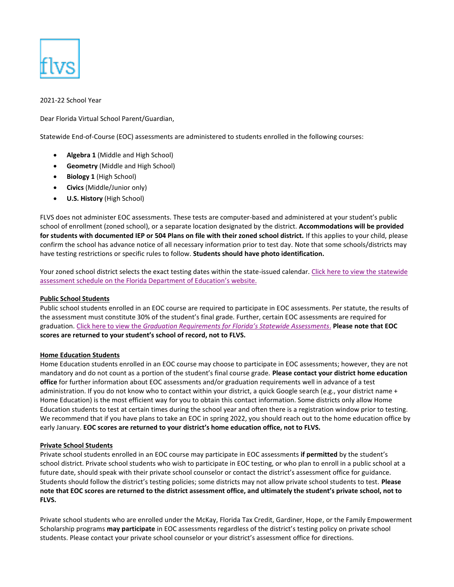

## 2021-22 School Year

Dear Florida Virtual School Parent/Guardian,

Statewide End-of-Course (EOC) assessments are administered to students enrolled in the following courses:

- **Algebra 1** (Middle and High School)
- **Geometry** (Middle and High School)
- **Biology 1** (High School)
- **Civics** (Middle/Junior only)
- **U.S. History** (High School)

FLVS does not administer EOC assessments. These tests are computer-based and administered at your student's public school of enrollment (zoned school), or a separate location designated by the district. **Accommodations will be provided for students with documented IEP or 504 Plans on file with their zoned school district.** If this applies to your child, please confirm the school has advance notice of all necessary information prior to test day. Note that some schools/districts may have testing restrictions or specific rules to follow. **Students should have photo identification.** 

Your zoned school district selects the exact testing dates within the state-issued calendar. [Click here to view the statewide](https://info.fldoe.org/docushare/dsweb/Get/Document-8789/dps-2019-197a.pdf)  [assessment schedule on the Florida Depa](https://info.fldoe.org/docushare/dsweb/Get/Document-8789/dps-2019-197a.pdf)rtment of Education's website.

# **Public School Students**

Public school students enrolled in an EOC course are required to participate in EOC assessments. Per statute, the results of the assessment must constitute 30% of the student's final grade. Further, certain EOC assessments are required for graduation. Click here to view the *[Graduation Requirements for Florida's Statewide Assessments](http://www.fldoe.org/core/fileparse.php/7764/urlt/GradRequireFSA.pdf)*. **Please note that EOC scores are returned to your student's school of record, not to FLVS.**

## **Home Education Students**

Home Education students enrolled in an EOC course may choose to participate in EOC assessments; however, they are not mandatory and do not count as a portion of the student's final course grade. **Please contact your district home education office** for further information about EOC assessments and/or graduation requirements well in advance of a test administration. If you do not know who to contact within your district, a quick Google search (e.g., your district name + Home Education) is the most efficient way for you to obtain this contact information. Some districts only allow Home Education students to test at certain times during the school year and often there is a registration window prior to testing. We recommend that if you have plans to take an EOC in spring 2022, you should reach out to the home education office by early January. **EOC scores are returned to your district's home education office, not to FLVS.** 

#### **Private School Students**

Private school students enrolled in an EOC course may participate in EOC assessments **if permitted** by the student's school district. Private school students who wish to participate in EOC testing, or who plan to enroll in a public school at a future date, should speak with their private school counselor or contact the district's assessment office for guidance. Students should follow the district's testing policies; some districts may not allow private school students to test. **Please note that EOC scores are returned to the district assessment office, and ultimately the student's private school, not to FLVS.**

Private school students who are enrolled under the McKay, Florida Tax Credit, Gardiner, Hope, or the Family Empowerment Scholarship programs **may participate** in EOC assessments regardless of the district's testing policy on private school students. Please contact your private school counselor or your district's assessment office for directions.